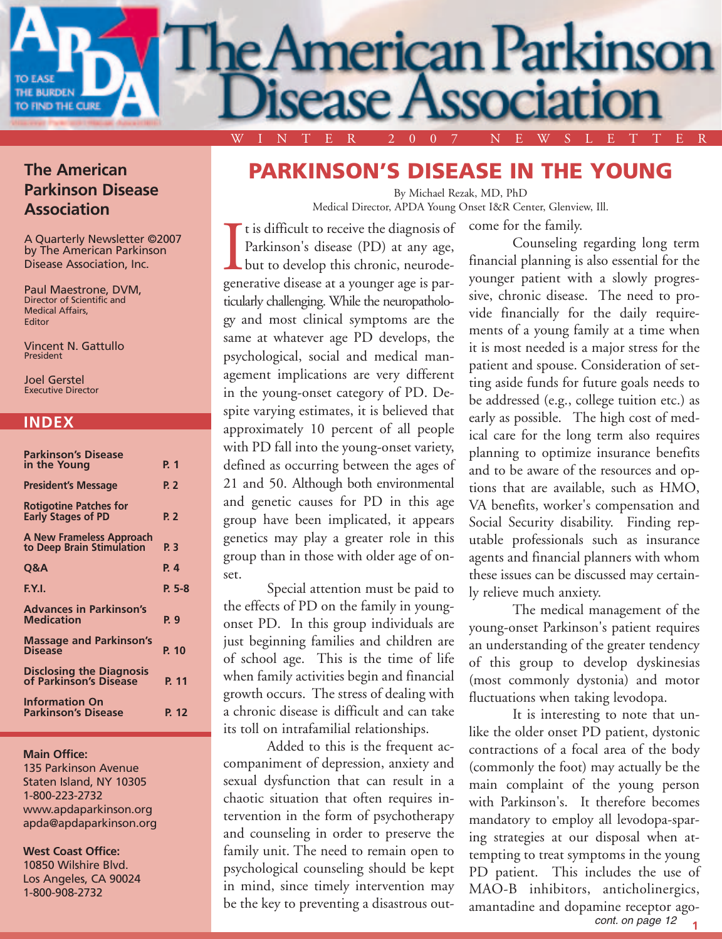

#### **The American Parkinson Disease Association**

A Quarterly Newsletter ©2007 by The American Parkinson Disease Association, Inc.

Paul Maestrone, DVM, Director of Scientific and Medical Affairs, Editor

Vincent N. Gattullo President

Joel Gerstel Executive Director

#### **INDEX**

| <b>Parkinson's Disease</b>                                 |          |
|------------------------------------------------------------|----------|
| in the Young                                               | P. 1     |
| <b>President's Message</b>                                 | P. 2     |
| <b>Rotigotine Patches for</b><br><b>Early Stages of PD</b> | P. 2     |
| A New Frameless Approach<br>to Deep Brain Stimulation      | P. 3     |
| Q&A                                                        | P. 4     |
| EY.I.                                                      | $P. 5-8$ |
| <b>Advances in Parkinson's</b><br><b>Medication</b>        | P. 9     |
| <b>Massage and Parkinson's</b><br><b>Disease</b>           | P. 10    |
| <b>Disclosing the Diagnosis</b><br>of Parkinson's Disease  | P. 11    |
| <b>Information On</b><br><b>Parkinson's Disease</b>        | P. 12    |

#### **Main Office:**

135 Parkinson Avenue Staten Island, NY 10305 1-800-223-2732 www.apdaparkinson.org apda@apdaparkinson.org

#### **West Coast Office:**

10850 Wilshire Blvd. Los Angeles, CA 90024 1-800-908-2732

### **PARKINSON'S DISEASE IN THE YOUNG**

By Michael Rezak, MD, PhD Medical Director, APDA Young Onset I&R Center, Glenview, Ill.

come for the family.

It is difficult to receive the diagnosis of<br>Parkinson's disease (PD) at any age,<br>but to develop this chronic, neurode-<br>generative disease at a younger age is part is difficult to receive the diagnosis of Parkinson's disease (PD) at any age, but to develop this chronic, neurodeticularly challenging. While the neuropathology and most clinical symptoms are the same at whatever age PD develops, the psychological, social and medical management implications are very different in the young-onset category of PD. Despite varying estimates, it is believed that approximately 10 percent of all people with PD fall into the young-onset variety, defined as occurring between the ages of 21 and 50. Although both environmental and genetic causes for PD in this age group have been implicated, it appears genetics may play a greater role in this group than in those with older age of onset.

Special attention must be paid to the effects of PD on the family in youngonset PD. In this group individuals are just beginning families and children are of school age. This is the time of life when family activities begin and financial growth occurs. The stress of dealing with a chronic disease is difficult and can take its toll on intrafamilial relationships.

Added to this is the frequent accompaniment of depression, anxiety and sexual dysfunction that can result in a chaotic situation that often requires intervention in the form of psychotherapy and counseling in order to preserve the family unit. The need to remain open to psychological counseling should be kept in mind, since timely intervention may be the key to preventing a disastrous out-

Counseling regarding long term financial planning is also essential for the younger patient with a slowly progressive, chronic disease. The need to provide financially for the daily requirements of a young family at a time when it is most needed is a major stress for the patient and spouse. Consideration of setting aside funds for future goals needs to be addressed (e.g., college tuition etc.) as early as possible. The high cost of medical care for the long term also requires planning to optimize insurance benefits and to be aware of the resources and options that are available, such as HMO, VA benefits, worker's compensation and Social Security disability. Finding reputable professionals such as insurance agents and financial planners with whom these issues can be discussed may certainly relieve much anxiety.

The medical management of the young-onset Parkinson's patient requires an understanding of the greater tendency of this group to develop dyskinesias (most commonly dystonia) and motor fluctuations when taking levodopa.

It is interesting to note that unlike the older onset PD patient, dystonic contractions of a focal area of the body (commonly the foot) may actually be the main complaint of the young person with Parkinson's. It therefore becomes mandatory to employ all levodopa-sparing strategies at our disposal when attempting to treat symptoms in the young PD patient. This includes the use of MAO-B inhibitors, anticholinergics, amantadine and dopamine receptor ago-

**<sup>1</sup>** cont. on page 12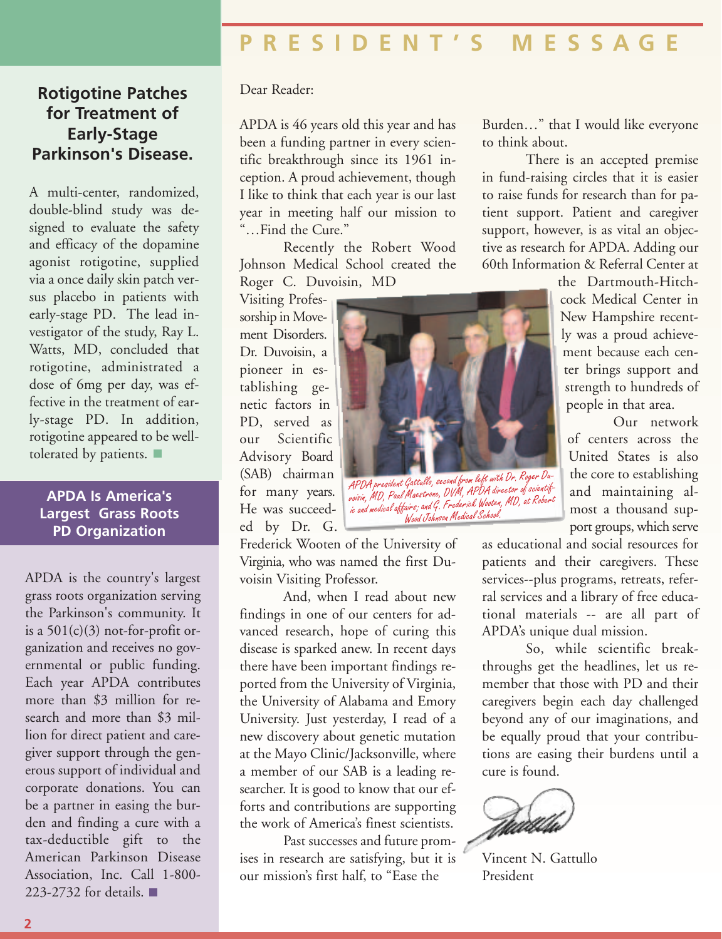*APDA president Gattullo, second from left with Dr. Roger Duvoisin, MD, Paul Maestrone, DVM, APDA director of scientif- ic and medical affairs; and G. Frederick Wooten, MD, at Robert Wood Haling and C. Frederick Wooten, MD, at Rebert*<br>is and medical affairs; and G. Frederick Wooten, MD, at Rebert

#### **Rotigotine Patches for Treatment of Early-Stage Parkinson's Disease.**

A multi-center, randomized, double-blind study was designed to evaluate the safety and efficacy of the dopamine agonist rotigotine, supplied via a once daily skin patch versus placebo in patients with early-stage PD. The lead investigator of the study, Ray L. Watts, MD, concluded that rotigotine, administrated a dose of 6mg per day, was effective in the treatment of early-stage PD. In addition, rotigotine appeared to be welltolerated by patients.

#### **APDA Is America's Largest Grass Roots PD Organization**

APDA is the country's largest grass roots organization serving the Parkinson's community. It is a  $501(c)(3)$  not-for-profit organization and receives no governmental or public funding. Each year APDA contributes more than \$3 million for research and more than \$3 million for direct patient and caregiver support through the generous support of individual and corporate donations. You can be a partner in easing the burden and finding a cure with a tax-deductible gift to the American Parkinson Disease Association, Inc. Call 1-800- 223-2732 for details.

#### Dear Reader:

APDA is 46 years old this year and has been a funding partner in every scientific breakthrough since its 1961 inception. A proud achievement, though I like to think that each year is our last year in meeting half our mission to "…Find the Cure."

Recently the Robert Wood Johnson Medical School created the Roger C. Duvoisin, MD

Visiting Professorship in Movement Disorders. Dr. Duvoisin, a pioneer in establishing genetic factors in PD, served as our Scientific Advisory Board (SAB) chairman for many years. He was succeeded by Dr. G.

Frederick Wooten of the University of Virginia, who was named the first Duvoisin Visiting Professor.

And, when I read about new findings in one of our centers for advanced research, hope of curing this disease is sparked anew. In recent days there have been important findings reported from the University of Virginia, the University of Alabama and Emory University. Just yesterday, I read of a new discovery about genetic mutation at the Mayo Clinic/Jacksonville, where a member of our SAB is a leading researcher. It is good to know that our efforts and contributions are supporting the work of America's finest scientists.

Past successes and future promises in research are satisfying, but it is our mission's first half, to "Ease the

Burden…" that I would like everyone to think about.

There is an accepted premise in fund-raising circles that it is easier to raise funds for research than for patient support. Patient and caregiver support, however, is as vital an objective as research for APDA. Adding our 60th Information & Referral Center at

> the Dartmouth-Hitchcock Medical Center in New Hampshire recently was a proud achievement because each center brings support and strength to hundreds of people in that area.

Our network of centers across the United States is also the core to establishing and maintaining almost a thousand support groups, which serve

as educational and social resources for patients and their caregivers. These services--plus programs, retreats, referral services and a library of free educational materials -- are all part of APDA's unique dual mission.

So, while scientific breakthroughs get the headlines, let us remember that those with PD and their caregivers begin each day challenged beyond any of our imaginations, and be equally proud that your contributions are easing their burdens until a cure is found.



Vincent N. Gattullo President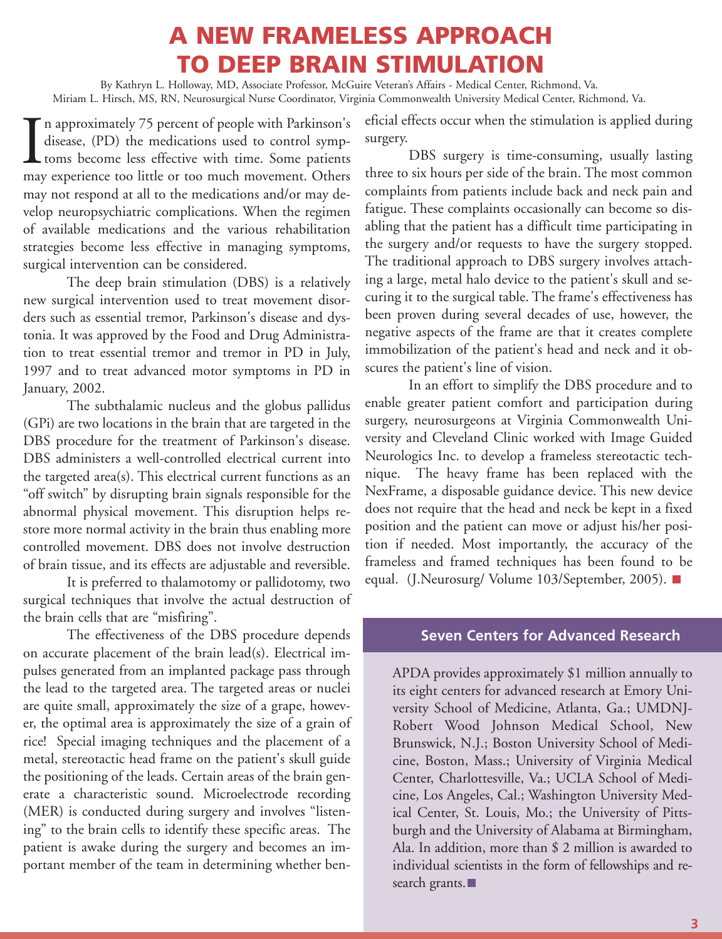# **A NEW FRAMELESS APPROACH TO DEEP BRAIN STIMULATION**

By Kathryn L. Holloway, MD, Associate Professor, McGuire Veteran's Affairs - Medical Center, Richmond, Va. Miriam L. Hirsch, MS, RN, Neurosurgical Nurse Coordinator, Virginia Commonwealth University Medical Center, Richmond, Va.

 $\prod_{\text{max}}$ n approximately 75 percent of people with Parkinson's disease, (PD) the medications used to control symptoms become less effective with time. Some patients may experience too little or too much movement. Others may not respond at all to the medications and/or may develop neuropsychiatric complications. When the regimen of available medications and the various rehabilitation strategies become less effective in managing symptoms, surgical intervention can be considered.

The deep brain stimulation (DBS) is a relatively new surgical intervention used to treat movement disorders such as essential tremor, Parkinson's disease and dystonia. It was approved by the Food and Drug Administration to treat essential tremor and tremor in PD in July, 1997 and to treat advanced motor symptoms in PD in January, 2002.

The subthalamic nucleus and the globus pallidus (GPi) are two locations in the brain that are targeted in the DBS procedure for the treatment of Parkinson's disease. DBS administers a well-controlled electrical current into the targeted area(s). This electrical current functions as an "off switch" by disrupting brain signals responsible for the abnormal physical movement. This disruption helps restore more normal activity in the brain thus enabling more controlled movement. DBS does not involve destruction of brain tissue, and its effects are adjustable and reversible.

It is preferred to thalamotomy or pallidotomy, two surgical techniques that involve the actual destruction of the brain cells that are "misfiring".

The effectiveness of the DBS procedure depends on accurate placement of the brain lead(s). Electrical impulses generated from an implanted package pass through the lead to the targeted area. The targeted areas or nuclei are quite small, approximately the size of a grape, however, the optimal area is approximately the size of a grain of rice! Special imaging techniques and the placement of a metal, stereotactic head frame on the patient's skull guide the positioning of the leads. Certain areas of the brain generate a characteristic sound. Microelectrode recording (MER) is conducted during surgery and involves "listening" to the brain cells to identify these specific areas. The patient is awake during the surgery and becomes an important member of the team in determining whether beneficial effects occur when the stimulation is applied during surgery.

DBS surgery is time-consuming, usually lasting three to six hours per side of the brain. The most common complaints from patients include back and neck pain and fatigue. These complaints occasionally can become so disabling that the patient has a difficult time participating in the surgery and/or requests to have the surgery stopped. The traditional approach to DBS surgery involves attaching a large, metal halo device to the patient's skull and securing it to the surgical table. The frame's effectiveness has been proven during several decades of use, however, the negative aspects of the frame are that it creates complete immobilization of the patient's head and neck and it obscures the patient's line of vision.

In an effort to simplify the DBS procedure and to enable greater patient comfort and participation during surgery, neurosurgeons at Virginia Commonwealth University and Cleveland Clinic worked with Image Guided Neurologics Inc. to develop a frameless stereotactic technique. The heavy frame has been replaced with the NexFrame, a disposable guidance device. This new device does not require that the head and neck be kept in a fixed position and the patient can move or adjust his/her position if needed. Most importantly, the accuracy of the frameless and framed techniques has been found to be equal. (J.Neurosurg/ Volume 103/September, 2005).

#### **Seven Centers for Advanced Research**

APDA provides approximately \$1 million annually to its eight centers for advanced research at Emory University School of Medicine, Atlanta, Ga.; UMDNJ-Robert Wood Johnson Medical School, New Brunswick, N.J.; Boston University School of Medicine, Boston, Mass.; University of Virginia Medical Center, Charlottesville, Va.; UCLA School of Medicine, Los Angeles, Cal.; Washington University Medical Center, St. Louis, Mo.; the University of Pittsburgh and the University of Alabama at Birmingham, Ala. In addition, more than \$ 2 million is awarded to individual scientists in the form of fellowships and research grants.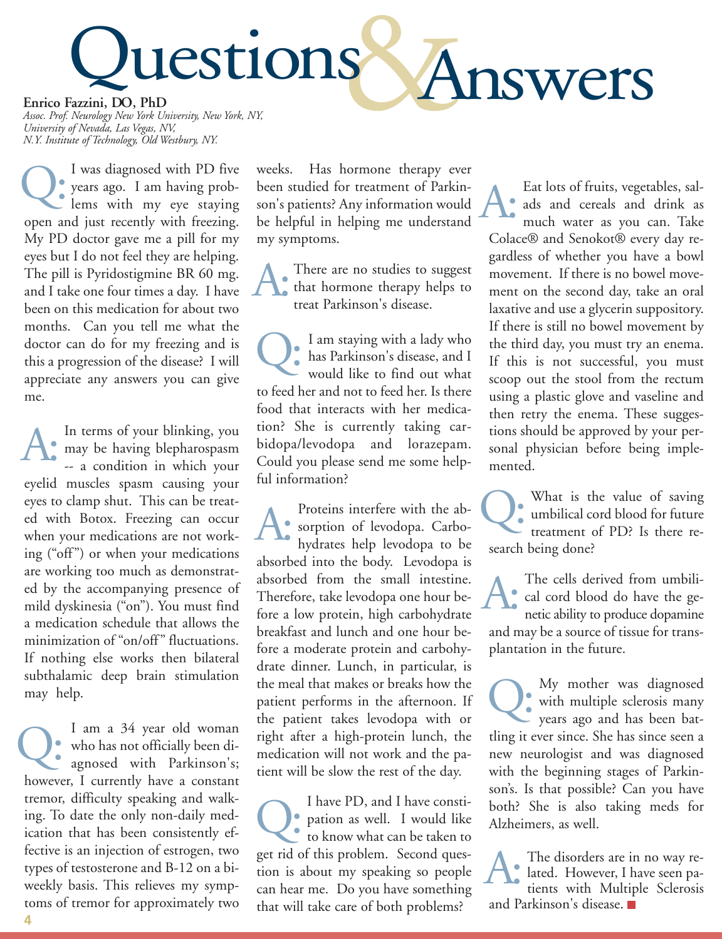

*Assoc. Prof. Neurology New York University, New York, NY, University of Nevada, Las Vegas, NV, N.Y. Institute of Technology, Old Westbury, NY.*

I was diagnosed with PD five years ago. I am having problems with my eye staying open and just recently with freezing. My PD doctor gave me a pill for my eyes but I do not feel they are helping. The pill is Pyridostigmine BR 60 mg. and I take one four times a day. I have been on this medication for about two months. Can you tell me what the doctor can do for my freezing and is this a progression of the disease? I will appreciate any answers you can give me. Q:

In terms of your blinking, you may be having blepharospasm A: In terms of your blinking, you<br>may be having blepharospasm<br>-- a condition in which your eyelid muscles spasm causing your eyes to clamp shut. This can be treated with Botox. Freezing can occur when your medications are not working ("off") or when your medications are working too much as demonstrated by the accompanying presence of mild dyskinesia ("on"). You must find a medication schedule that allows the minimization of "on/off" fluctuations. If nothing else works then bilateral subthalamic deep brain stimulation may help.

I am a 34 year old woman who has not officially been diagnosed with Parkinson's; however, I currently have a constant tremor, difficulty speaking and walking. To date the only non-daily medication that has been consistently effective is an injection of estrogen, two types of testosterone and B-12 on a biweekly basis. This relieves my symptoms of tremor for approximately two Q:

weeks. Has hormone therapy ever been studied for treatment of Parkinson's patients? Any information would be helpful in helping me understand my symptoms.

There are no studies to suggest that hormone therapy helps to treat Parkinson's disease. A:

I am staying with a lady who has Parkinson's disease, and I would like to find out what to feed her and not to feed her. Is there food that interacts with her medication? She is currently taking carbidopa/levodopa and lorazepam. Could you please send me some helpful information? Q:

Proteins interfere with the absorption of levodopa. Carbo-**A:** Proteins interfere with the absorption of levodopa. Carbo-<br>hydrates help levodopa to be absorbed into the body. Levodopa is absorbed from the small intestine. Therefore, take levodopa one hour before a low protein, high carbohydrate breakfast and lunch and one hour before a moderate protein and carbohydrate dinner. Lunch, in particular, is the meal that makes or breaks how the patient performs in the afternoon. If the patient takes levodopa with or right after a high-protein lunch, the medication will not work and the patient will be slow the rest of the day.

I have PD, and I have constipation as well. I would like to know what can be taken to get rid of this problem. Second question is about my speaking so people can hear me. Do you have something that will take care of both problems? Q:

Eat lots of fruits, vegetables, salads and cereals and drink as much water as you can. Take Colace® and Senokot® every day regardless of whether you have a bowl movement. If there is no bowel movement on the second day, take an oral laxative and use a glycerin suppository. If there is still no bowel movement by the third day, you must try an enema. If this is not successful, you must scoop out the stool from the rectum using a plastic glove and vaseline and then retry the enema. These suggestions should be approved by your personal physician before being implemented. A:

What is the value of saving umbilical cord blood for future treatment of PD? Is there research being done? Q:

The cells derived from umbilical cord blood do have the ge-The cells derived from umbili-<br>cal cord blood do have the ge-<br>netic ability to produce dopamine and may be a source of tissue for transplantation in the future.

My mother was diagnosed with multiple sclerosis many My mother was diagnosed<br>with multiple sclerosis many<br>years ago and has been battling it ever since. She has since seen a new neurologist and was diagnosed with the beginning stages of Parkinson's. Is that possible? Can you have both? She is also taking meds for Alzheimers, as well.

The disorders are in no way related. However, I have seen patients with Multiple Sclerosis and Parkinson's disease. A: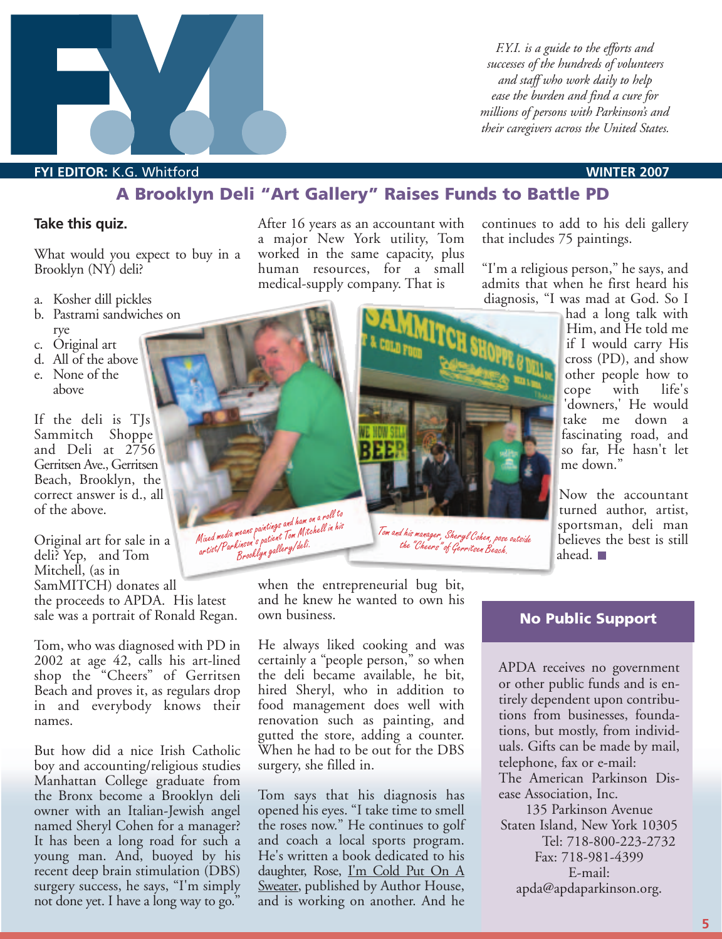

*F.Y.I. is a guide to the efforts and successes of the hundreds of volunteers and staff who work daily to help ease the burden and find a cure for millions of persons with Parkinson's and their caregivers across the United States.*

#### **FYI EDITOR:** K.G. Whitford **WINTER 2007**

#### **A Brooklyn Deli "Art Gallery" Raises Funds to Battle PD**

#### **Take this quiz.**

What would you expect to buy in a Brooklyn (NY) deli?

- a. Kosher dill pickles
- b. Pastrami sandwiches on rye
- c. Original art
- d. All of the above
- e. None of the above

If the deli is TJs Sammitch Shoppe and Deli at 2756 Gerritsen Ave., Gerritsen Beach, Brooklyn, the correct answer is d., all of the above.

Original art for sale in a deli? Yep, and Tom Mitchell, (as in SamMITCH) donates all the proceeds to APDA. His latest sale was a portrait of Ronald Regan.

Tom, who was diagnosed with PD in 2002 at age 42, calls his art-lined shop the "Cheers" of Gerritsen Beach and proves it, as regulars drop in and everybody knows their names.

But how did a nice Irish Catholic boy and accounting/religious studies Manhattan College graduate from the Bronx become a Brooklyn deli owner with an Italian-Jewish angel named Sheryl Cohen for a manager? It has been a long road for such a young man. And, buoyed by his recent deep brain stimulation (DBS) surgery success, he says, "I'm simply not done yet. I have a long way to go."

After 16 years as an accountant with a major New York utility, Tom worked in the same capacity, plus human resources, for a small medical-supply company. That is

continues to add to his deli gallery that includes 75 paintings.

"I'm a religious person," he says, and admits that when he first heard his diagnosis, "I was mad at God. So I

had a long talk with Him, and He told me if I would carry His cross (PD), and show other people how to cope with life's 'downers,' He would take me down a fascinating road, and so far, He hasn't let me down."

Now the accountant turned author, artist, sportsman, deli man believes the best is still ahead.

when the entrepreneurial bug bit, and he knew he wanted to own his own business.

He always liked cooking and was certainly a "people person," so when the deli became available, he bit, hired Sheryl, who in addition to food management does well with renovation such as painting, and gutted the store, adding a counter. When he had to be out for the DBS surgery, she filled in.

Tom says that his diagnosis has opened his eyes. "I take time to smell the roses now." He continues to golf and coach a local sports program. He's written a book dedicated to his daughter, Rose, I'm Cold Put On A Sweater, published by Author House, and is working on another. And he

#### **No Public Support**

APDA receives no government or other public funds and is entirely dependent upon contributions from businesses, foundations, but mostly, from individuals. Gifts can be made by mail, telephone, fax or e-mail:

The American Parkinson Disease Association, Inc.

135 Parkinson Avenue Staten Island, New York 10305 Tel: 718-800-223-2732 Fax: 718-981-4399 E-mail: apda@apdaparkinson.org.



*artist/Parkinson's patient Tom Mitchell in his Brooklyn gallery/deli.*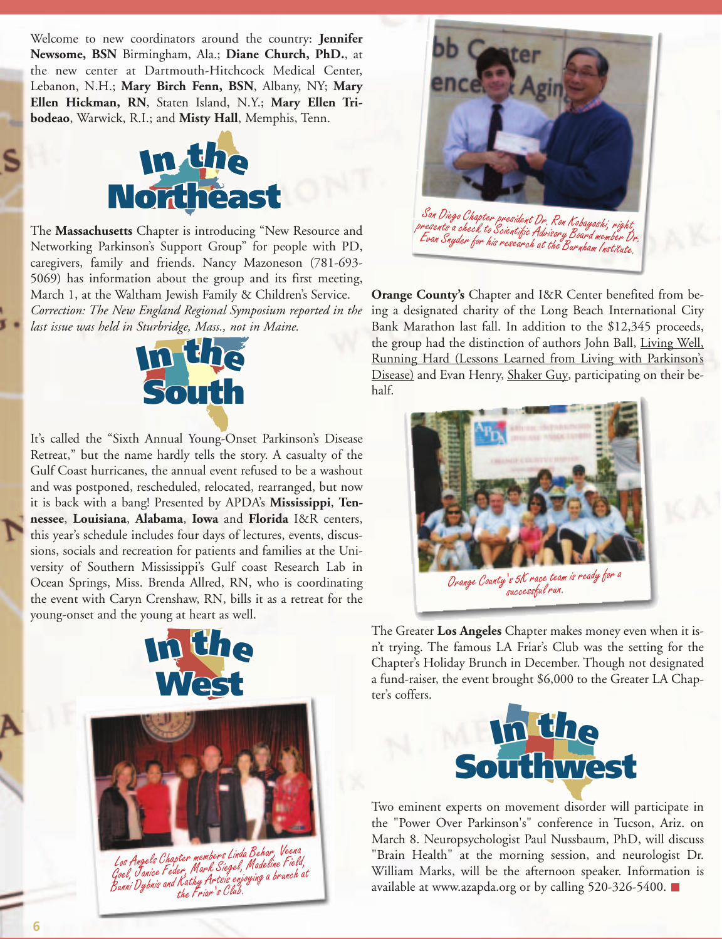Welcome to new coordinators around the country: **Jennifer Newsome, BSN** Birmingham, Ala.; **Diane Church, PhD.**, at the new center at Dartmouth-Hitchcock Medical Center, Lebanon, N.H.; **Mary Birch Fenn, BSN**, Albany, NY; **Mary Ellen Hickman, RN**, Staten Island, N.Y.; **Mary Ellen Tribodeao**, Warwick, R.I.; and Misty Hall, Memphis, Tenn.



The **Massachusetts** Chapter is introducing "New Resource and Networking Parkinson's Support Group" for people with PD, caregivers, family and friends. Nancy Mazoneson (781-693-5069) has information about the group and its first meeting, March 1, at the Waltham Jewish Family & Childr caregivers, family and friends. Nancy Mazoneson (781-693- 5069) has information about the group and its first meeting, March 1, at the Waltham Jewish Family & Children's Service. *Correction: The New England Regional Symposium reported in the last issue was held in Sturbridge, Mass., not in Maine.* **Northeast**<br> **Setts** Chapter is introducing "New<br> **Integrals of Support Group"** for people am Jewish Family &<br>I*ngland Regional Symp*<br>turbridge Mass not ii



It's called the "Sixth Annual Young-Onset Parkinson's Disease Retreat," but the name hardly tells the story. A casualty of the Retical, but the name hardly tens the story. To easually of the<br>Gulf Coast hurricanes, the annual event refused to be a washout Gulf Coast hurricanes, the annual event refused to be a washout and was postponed, rescheduled, relocated, rearranged, but now it is back with a bang! Presented by APDA's **Mississippi**, **Ten-**It is back with a bang! Presented by APDA's **Mississippi, Iennessee**, **Louisiana**, **Alabama**, **Iowa** and **Florida** I&R centers, this year's schedule includes four days of lectures, events, discussions, socials and recreation for patients and families at the University of Southern Mississippi's Gulf coast Research Lab in Ocean Springs, Miss. Brenda Allred, RN, who is coordinating the event with Caryn Crenshaw, RN, bills it as a retreat for the young-onset and the young at heart as well. **ISONAL EXECUTE:**<br>
ISONAL EXECUTE:<br>
ISONAL EXECUTE:<br>
ISONAL EXECUTE:<br>
ISONAL EXECUTE:<br>
ISONAL EXECUTE:<br>
ISONAL EXECUTE:<br>
ISONAL EXECUTE:<br>
ISONAL EXECUTE:<br>
ISONAL EXECUTE:<br>
ISONAL EXECUTE:<br>
ISONAL EXECUTE:<br>
ISONAL EXECUTE:<br> Integrals of the includes four days of lectures, each recreation for patients and familihern Mississippi's Gulf coast Res Miss. Brenda Allred, RN, who is



**I**<br>the Friar's Club. *Los Angels Chapter members Linda Behar, Veena Goel, Janice Feder, Mark Siegel, Madeline Field, Bunni Dybnis and Kathy Artsis enjoying a brunch at the Friar's Club.*



**Orange County's** Chapter and I&R Center benefited from be-**Orange County's** Chapter and I&R Center benefited from be-<br>ing a designated charity of the Long Beach International City Bank Marathon last fall. In addition to the \$12,345 proceeds, the group had the distinction of authors John Ball, Living Well,<br>Running Hard (Lessons Learned from Living with Parkinson's Running Hard (Lessons Learned from Living with Parkinson's Disease) and Evan Henry, Shaker Guy, participating on their behalf.



The Greater **Los Angeles** Chapter makes money even when it is-**I<sup>n</sup> th<sup>e</sup>** n't trying. The famous LA Friar's Club was the setting for the It trying. The famous EA Friar's Club was the setting for the<br>Chapter's Holiday Brunch in December. Though not designated<br>a fund raiser, the event brought \$6,000 to the Creater LA Chap a fund-raiser, the event brought \$6,000 to the Greater LA Chapter's coffers.



Two eminent experts on movement disorder will participate in the "Power Over Parkinson's" conference in Tucson, Ariz. on March 8. Neuropsychologist Paul Nussbaum, PhD, will discuss "Brain Health" at the morning session, and neurologist Dr. William Marks, will be the afternoon speaker. Information is available at www.azapda.org or by calling 520-326-5400. Inson's" conterence 1<br>| logist Paul Nussbaun<br>! morning session, a<br>e the afternoon spea<br>a.org or by calling 52

**I<sup>n</sup> th<sup>e</sup>**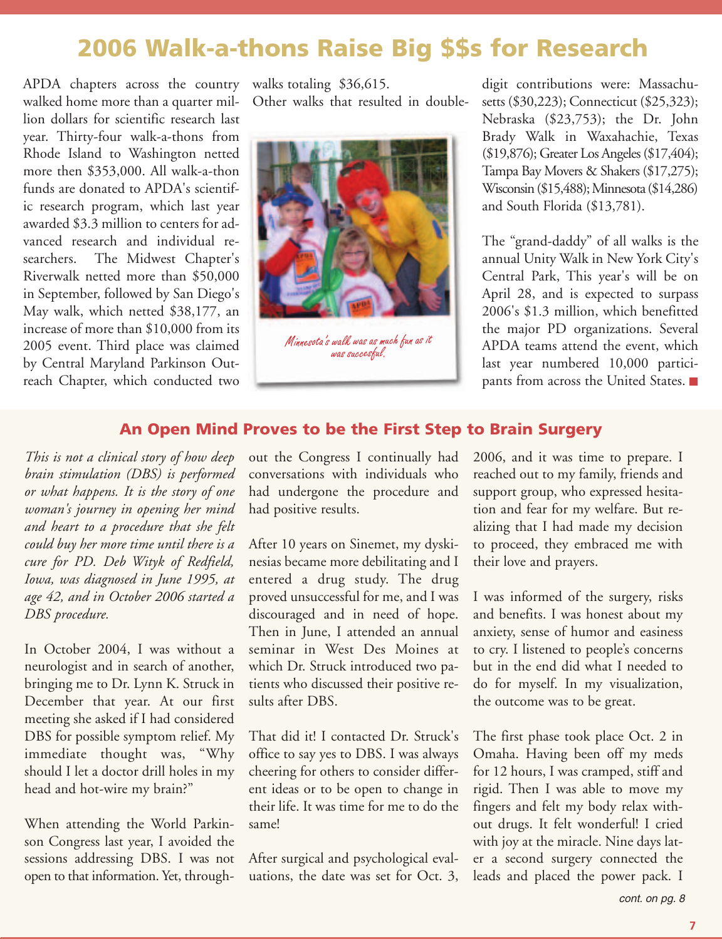# **2006 Walk-a-thons Raise Big \$\$s for Research**

APDA chapters across the country walks totaling \$36,615. walked home more than a quarter million dollars for scientific research last year. Thirty-four walk-a-thons from Rhode Island to Washington netted more then \$353,000. All walk-a-thon funds are donated to APDA's scientific research program, which last year awarded \$3.3 million to centers for advanced research and individual researchers. The Midwest Chapter's Riverwalk netted more than \$50,000 in September, followed by San Diego's May walk, which netted \$38,177, an increase of more than \$10,000 from its 2005 event. Third place was claimed by Central Maryland Parkinson Outreach Chapter, which conducted two

Other walks that resulted in double-



*was succesful.*

digit contributions were: Massachusetts (\$30,223); Connecticut (\$25,323); Nebraska (\$23,753); the Dr. John Brady Walk in Waxahachie, Texas (\$19,876); Greater Los Angeles (\$17,404); Tampa Bay Movers & Shakers (\$17,275); Wisconsin (\$15,488); Minnesota (\$14,286) and South Florida (\$13,781).

The "grand-daddy" of all walks is the annual Unity Walk in New York City's Central Park, This year's will be on April 28, and is expected to surpass 2006's \$1.3 million, which benefitted the major PD organizations. Several APDA teams attend the event, which last year numbered 10,000 participants from across the United States.

#### **An Open Mind Proves to be the First Step to Brain Surgery**

*This is not a clinical story of how deep brain stimulation (DBS) is performed or what happens. It is the story of one woman's journey in opening her mind and heart to a procedure that she felt could buy her more time until there is a cure for PD. Deb Wityk of Redfield, Iowa, was diagnosed in June 1995, at age 42, and in October 2006 started a DBS procedure.*

In October 2004, I was without a neurologist and in search of another, bringing me to Dr. Lynn K. Struck in December that year. At our first meeting she asked if I had considered DBS for possible symptom relief. My immediate thought was, "Why should I let a doctor drill holes in my head and hot-wire my brain?"

When attending the World Parkinson Congress last year, I avoided the sessions addressing DBS. I was not open to that information. Yet, throughout the Congress I continually had conversations with individuals who had undergone the procedure and had positive results.

After 10 years on Sinemet, my dyskinesias became more debilitating and I entered a drug study. The drug proved unsuccessful for me, and I was discouraged and in need of hope. Then in June, I attended an annual seminar in West Des Moines at which Dr. Struck introduced two patients who discussed their positive results after DBS.

That did it! I contacted Dr. Struck's office to say yes to DBS. I was always cheering for others to consider different ideas or to be open to change in their life. It was time for me to do the same!

After surgical and psychological evaluations, the date was set for Oct. 3, 2006, and it was time to prepare. I reached out to my family, friends and support group, who expressed hesitation and fear for my welfare. But realizing that I had made my decision to proceed, they embraced me with their love and prayers.

I was informed of the surgery, risks and benefits. I was honest about my anxiety, sense of humor and easiness to cry. I listened to people's concerns but in the end did what I needed to do for myself. In my visualization, the outcome was to be great.

The first phase took place Oct. 2 in Omaha. Having been off my meds for 12 hours, I was cramped, stiff and rigid. Then I was able to move my fingers and felt my body relax without drugs. It felt wonderful! I cried with joy at the miracle. Nine days later a second surgery connected the leads and placed the power pack. I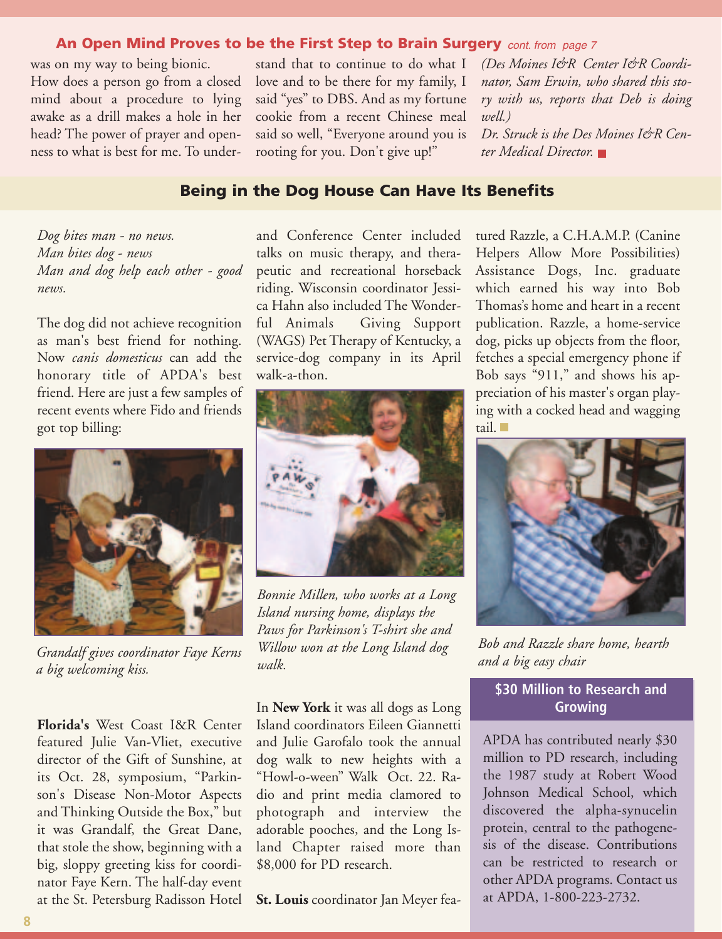#### **An Open Mind Proves to be the First Step to Brain Surgery** cont. from page 7

was on my way to being bionic. How does a person go from a closed mind about a procedure to lying awake as a drill makes a hole in her head? The power of prayer and openness to what is best for me. To understand that to continue to do what I love and to be there for my family, I said "yes" to DBS. And as my fortune cookie from a recent Chinese meal said so well, "Everyone around you is rooting for you. Don't give up!"

*(Des Moines I&R Center I&R Coordinator, Sam Erwin, who shared this story with us, reports that Deb is doing well.) Dr. Struck is the Des Moines I&R Center Medical Director.*

#### **Being in the Dog House Can Have Its Benefits**

*Dog bites man - no news. Man bites dog - news Man and dog help each other - good news.* 

The dog did not achieve recognition as man's best friend for nothing. Now *canis domesticus* can add the honorary title of APDA's best friend. Here are just a few samples of recent events where Fido and friends got top billing:



*Grandalf gives coordinator Faye Kerns a big welcoming kiss.*

**Florida's** West Coast I&R Center featured Julie Van-Vliet, executive director of the Gift of Sunshine, at its Oct. 28, symposium, "Parkinson's Disease Non-Motor Aspects and Thinking Outside the Box," but it was Grandalf, the Great Dane, that stole the show, beginning with a big, sloppy greeting kiss for coordinator Faye Kern. The half-day event at the St. Petersburg Radisson Hotel and Conference Center included talks on music therapy, and therapeutic and recreational horseback riding. Wisconsin coordinator Jessica Hahn also included The Wonderful Animals Giving Support (WAGS) Pet Therapy of Kentucky, a service-dog company in its April walk-a-thon.



*Bonnie Millen, who works at a Long Island nursing home, displays the Paws for Parkinson's T-shirt she and Willow won at the Long Island dog walk.*

In **New York** it was all dogs as Long Island coordinators Eileen Giannetti and Julie Garofalo took the annual dog walk to new heights with a "Howl-o-ween" Walk Oct. 22. Radio and print media clamored to photograph and interview the adorable pooches, and the Long Island Chapter raised more than \$8,000 for PD research.

**St. Louis** coordinator Jan Meyer fea-

tured Razzle, a C.H.A.M.P. (Canine Helpers Allow More Possibilities) Assistance Dogs, Inc. graduate which earned his way into Bob Thomas's home and heart in a recent publication. Razzle, a home-service dog, picks up objects from the floor, fetches a special emergency phone if Bob says "911," and shows his appreciation of his master's organ playing with a cocked head and wagging tail.



*Bob and Razzle share home, hearth and a big easy chair*

#### **\$30 Million to Research and Growing**

APDA has contributed nearly \$30 million to PD research, including the 1987 study at Robert Wood Johnson Medical School, which discovered the alpha-synucelin protein, central to the pathogenesis of the disease. Contributions can be restricted to research or other APDA programs. Contact us at APDA, 1-800-223-2732.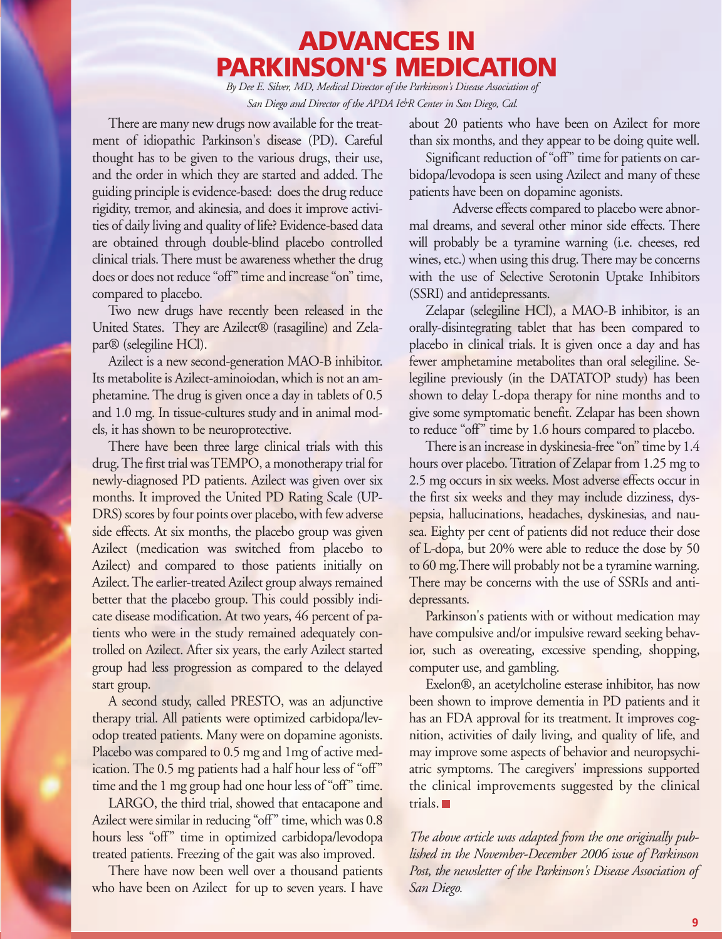# **ADVANCES IN PARKINSON'S MEDICATION**

*By Dee E. Silver, MD, Medical Director of the Parkinson's Disease Association of San Diego and Director of the APDA I&R Center in San Diego, Cal.*

There are many new drugs now available for the treatment of idiopathic Parkinson's disease (PD). Careful thought has to be given to the various drugs, their use, and the order in which they are started and added. The guiding principle is evidence-based: does the drug reduce rigidity, tremor, and akinesia, and does it improve activities of daily living and quality of life? Evidence-based data are obtained through double-blind placebo controlled clinical trials. There must be awareness whether the drug does or does not reduce "off" time and increase "on" time, compared to placebo.

Two new drugs have recently been released in the United States. They are Azilect® (rasagiline) and Zelapar® (selegiline HCl).

Azilect is a new second-generation MAO-B inhibitor. Its metabolite is Azilect-aminoiodan, which is not an amphetamine. The drug is given once a day in tablets of 0.5 and 1.0 mg. In tissue-cultures study and in animal models, it has shown to be neuroprotective.

There have been three large clinical trials with this drug. The first trial was TEMPO, a monotherapy trial for newly-diagnosed PD patients. Azilect was given over six months. It improved the United PD Rating Scale (UP-DRS) scores by four points over placebo, with few adverse side effects. At six months, the placebo group was given Azilect (medication was switched from placebo to Azilect) and compared to those patients initially on Azilect. The earlier-treated Azilect group always remained better that the placebo group. This could possibly indicate disease modification. At two years, 46 percent of patients who were in the study remained adequately controlled on Azilect. After six years, the early Azilect started group had less progression as compared to the delayed start group.

A second study, called PRESTO, was an adjunctive therapy trial. All patients were optimized carbidopa/levodop treated patients. Many were on dopamine agonists. Placebo was compared to 0.5 mg and 1mg of active medication. The 0.5 mg patients had a half hour less of "off" time and the 1 mg group had one hour less of "off" time.

LARGO, the third trial, showed that entacapone and Azilect were similar in reducing "off" time, which was 0.8 hours less "off" time in optimized carbidopa/levodopa treated patients. Freezing of the gait was also improved.

There have now been well over a thousand patients who have been on Azilect for up to seven years. I have about 20 patients who have been on Azilect for more than six months, and they appear to be doing quite well.

Significant reduction of "off" time for patients on carbidopa/levodopa is seen using Azilect and many of these patients have been on dopamine agonists.

Adverse effects compared to placebo were abnormal dreams, and several other minor side effects. There will probably be a tyramine warning (i.e. cheeses, red wines, etc.) when using this drug. There may be concerns with the use of Selective Serotonin Uptake Inhibitors (SSRI) and antidepressants.

Zelapar (selegiline HCl), a MAO-B inhibitor, is an orally-disintegrating tablet that has been compared to placebo in clinical trials. It is given once a day and has fewer amphetamine metabolites than oral selegiline. Selegiline previously (in the DATATOP study) has been shown to delay L-dopa therapy for nine months and to give some symptomatic benefit. Zelapar has been shown to reduce "off" time by 1.6 hours compared to placebo.

There is an increase in dyskinesia-free "on" time by 1.4 hours over placebo. Titration of Zelapar from 1.25 mg to 2.5 mg occurs in six weeks. Most adverse effects occur in the first six weeks and they may include dizziness, dyspepsia, hallucinations, headaches, dyskinesias, and nausea. Eighty per cent of patients did not reduce their dose of L-dopa, but 20% were able to reduce the dose by 50 to 60 mg.There will probably not be a tyramine warning. There may be concerns with the use of SSRIs and antidepressants.

Parkinson's patients with or without medication may have compulsive and/or impulsive reward seeking behavior, such as overeating, excessive spending, shopping, computer use, and gambling.

Exelon®, an acetylcholine esterase inhibitor, has now been shown to improve dementia in PD patients and it has an FDA approval for its treatment. It improves cognition, activities of daily living, and quality of life, and may improve some aspects of behavior and neuropsychiatric symptoms. The caregivers' impressions supported the clinical improvements suggested by the clinical trials.

*The above article was adapted from the one originally published in the November-December 2006 issue of Parkinson Post, the newsletter of the Parkinson's Disease Association of San Diego.*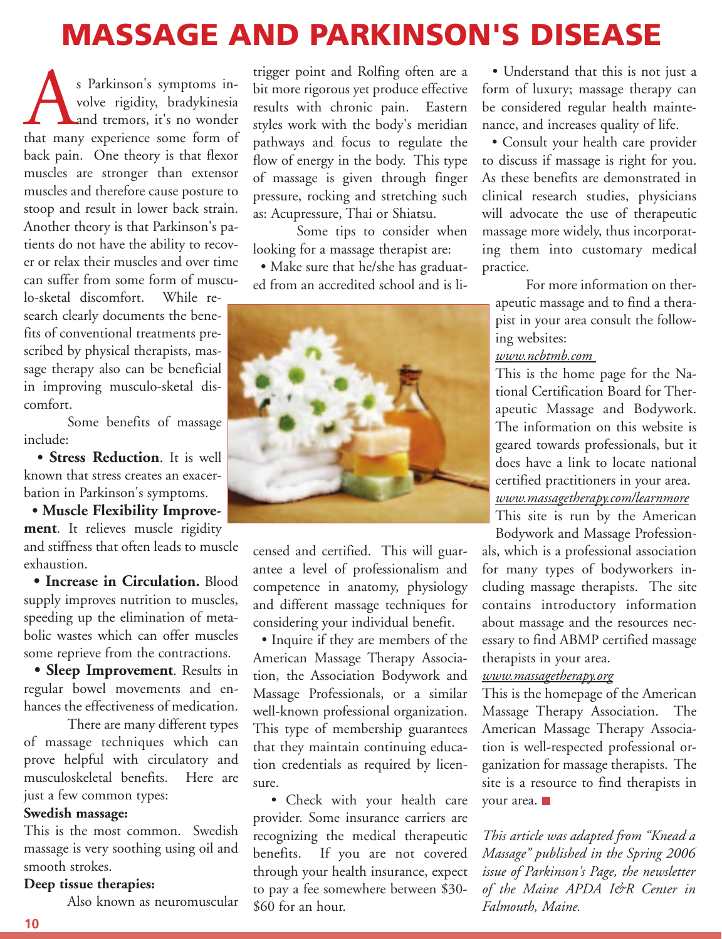# **MASSAGE AND PARKINSON'S DISEASE**

s Parkinson's symptoms in-<br>volve rigidity, bradykinesia<br>that many experience some form of volve rigidity, bradykinesia and tremors, it's no wonder back pain. One theory is that flexor muscles are stronger than extensor muscles and therefore cause posture to stoop and result in lower back strain. Another theory is that Parkinson's patients do not have the ability to recover or relax their muscles and over time can suffer from some form of musculo-sketal discomfort. While research clearly documents the benefits of conventional treatments prescribed by physical therapists, massage therapy also can be beneficial in improving musculo-sketal discomfort.

Some benefits of massage include:

**• Stress Reduction**. It is well known that stress creates an exacerbation in Parkinson's symptoms.

**• Muscle Flexibility Improvement**. It relieves muscle rigidity and stiffness that often leads to muscle exhaustion.

**• Increase in Circulation.** Blood supply improves nutrition to muscles, speeding up the elimination of metabolic wastes which can offer muscles some reprieve from the contractions.

**• Sleep Improvement**. Results in regular bowel movements and enhances the effectiveness of medication.

There are many different types of massage techniques which can prove helpful with circulatory and musculoskeletal benefits. Here are just a few common types:

#### **Swedish massage:**

This is the most common. Swedish massage is very soothing using oil and smooth strokes.

#### **Deep tissue therapies:**

Also known as neuromuscular

trigger point and Rolfing often are a bit more rigorous yet produce effective results with chronic pain. Eastern styles work with the body's meridian pathways and focus to regulate the flow of energy in the body. This type of massage is given through finger pressure, rocking and stretching such as: Acupressure, Thai or Shiatsu.

Some tips to consider when looking for a massage therapist are:

• Make sure that he/she has graduated from an accredited school and is li-



censed and certified. This will guarantee a level of professionalism and competence in anatomy, physiology and different massage techniques for considering your individual benefit.

• Inquire if they are members of the American Massage Therapy Association, the Association Bodywork and Massage Professionals, or a similar well-known professional organization. This type of membership guarantees that they maintain continuing education credentials as required by licensure.

• Check with your health care provider. Some insurance carriers are recognizing the medical therapeutic benefits. If you are not covered through your health insurance, expect to pay a fee somewhere between \$30- \$60 for an hour.

• Understand that this is not just a form of luxury; massage therapy can be considered regular health maintenance, and increases quality of life.

• Consult your health care provider to discuss if massage is right for you. As these benefits are demonstrated in clinical research studies, physicians will advocate the use of therapeutic massage more widely, thus incorporating them into customary medical practice.

For more information on therapeutic massage and to find a therapist in your area consult the following websites:

#### *www.ncbtmb.com*

This is the home page for the National Certification Board for Therapeutic Massage and Bodywork. The information on this website is geared towards professionals, but it does have a link to locate national certified practitioners in your area. *www.massagetherapy.com/learnmore*

This site is run by the American Bodywork and Massage Profession-

als, which is a professional association for many types of bodyworkers including massage therapists. The site contains introductory information about massage and the resources necessary to find ABMP certified massage therapists in your area.

#### *www.massagetherapy.org*

This is the homepage of the American Massage Therapy Association. The American Massage Therapy Association is well-respected professional organization for massage therapists. The site is a resource to find therapists in your area.

*This article was adapted from "Knead a Massage" published in the Spring 2006 issue of Parkinson's Page, the newsletter of the Maine APDA I&R Center in Falmouth, Maine.*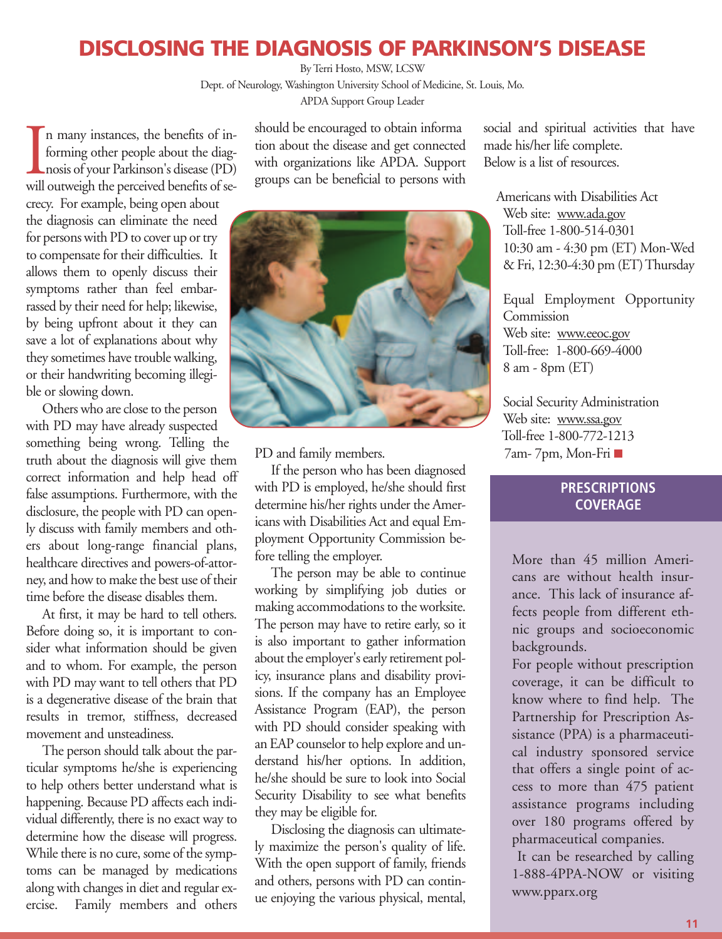## **DISCLOSING THE DIAGNOSIS OF PARKINSON'S DISEASE**

By Terri Hosto, MSW, LCSW

Dept. of Neurology, Washington University School of Medicine, St. Louis, Mo. APDA Support Group Leader

In many instances, the benefits of in-<br>forming other people about the diag-<br>nosis of your Parkinson's disease (PD)<br>will outweigh the perceived benefits of sen many instances, the benefits of informing other people about the diagnosis of your Parkinson's disease (PD) crecy. For example, being open about the diagnosis can eliminate the need for persons with PD to cover up or try to compensate for their difficulties. It allows them to openly discuss their symptoms rather than feel embarrassed by their need for help; likewise, by being upfront about it they can save a lot of explanations about why they sometimes have trouble walking, or their handwriting becoming illegible or slowing down.

Others who are close to the person with PD may have already suspected something being wrong. Telling the truth about the diagnosis will give them correct information and help head off false assumptions. Furthermore, with the disclosure, the people with PD can openly discuss with family members and others about long-range financial plans, healthcare directives and powers-of-attorney, and how to make the best use of their time before the disease disables them.

At first, it may be hard to tell others. Before doing so, it is important to consider what information should be given and to whom. For example, the person with PD may want to tell others that PD is a degenerative disease of the brain that results in tremor, stiffness, decreased movement and unsteadiness.

The person should talk about the particular symptoms he/she is experiencing to help others better understand what is happening. Because PD affects each individual differently, there is no exact way to determine how the disease will progress. While there is no cure, some of the symptoms can be managed by medications along with changes in diet and regular exercise. Family members and others

should be encouraged to obtain informa tion about the disease and get connected with organizations like APDA. Support groups can be beneficial to persons with



PD and family members.

If the person who has been diagnosed with PD is employed, he/she should first determine his/her rights under the Americans with Disabilities Act and equal Employment Opportunity Commission before telling the employer.

The person may be able to continue working by simplifying job duties or making accommodations to the worksite. The person may have to retire early, so it is also important to gather information about the employer's early retirement policy, insurance plans and disability provisions. If the company has an Employee Assistance Program (EAP), the person with PD should consider speaking with an EAP counselor to help explore and understand his/her options. In addition, he/she should be sure to look into Social Security Disability to see what benefits they may be eligible for.

Disclosing the diagnosis can ultimately maximize the person's quality of life. With the open support of family, friends and others, persons with PD can continue enjoying the various physical, mental, social and spiritual activities that have made his/her life complete. Below is a list of resources.

Americans with Disabilities Act Web site: www.ada.gov Toll-free 1-800-514-0301 10:30 am - 4:30 pm (ET) Mon-Wed & Fri, 12:30-4:30 pm (ET) Thursday

Equal Employment Opportunity **Commission** Web site: www.eeoc.gov Toll-free: 1-800-669-4000 8 am - 8pm (ET)

Social Security Administration Web site: www.ssa.gov Toll-free 1-800-772-1213 7am- 7pm, Mon-Fri

#### **PRESCRIPTIONS COVERAGE**

More than 45 million Americans are without health insurance. This lack of insurance affects people from different ethnic groups and socioeconomic backgrounds.

For people without prescription coverage, it can be difficult to know where to find help. The Partnership for Prescription Assistance (PPA) is a pharmaceutical industry sponsored service that offers a single point of access to more than 475 patient assistance programs including over 180 programs offered by pharmaceutical companies.

It can be researched by calling 1-888-4PPA-NOW or visiting www.pparx.org